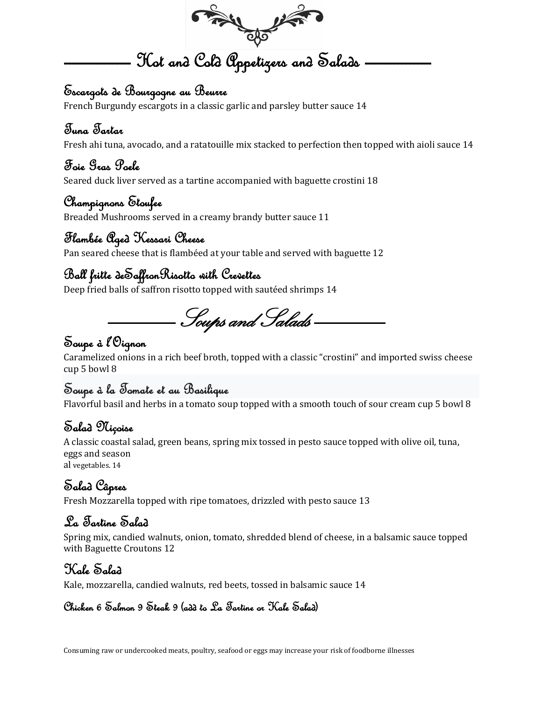

#### Escargots de Bourgogne au Beurre

French Burgundy escargots in a classic garlic and parsley butter sauce 14

#### Tuna Tartar

Fresh ahi tuna, avocado, and a ratatouille mix stacked to perfection then topped with aioli sauce 14

#### Foie Gras Poele

Seared duck liver served as a tartine accompanied with baguette crostini 18

#### Champignons Etoufee

Breaded Mushrooms served in a creamy brandy butter sauce 11

## Flambée Aged Kessari Cheese

Pan seared cheese that is flambéed at your table and served with baguette 12

## Ball fritte deSaffronRisotto with Crevettes

Deep fried balls of saffron risotto topped with sautéed shrimps 14

Soups and Salads

## Soupe à l'Oignon

Caramelized onions in a rich beef broth, topped with a classic "crostini" and imported swiss cheese cup 5 bowl 8

## Soupe à la Tomate et au Basilique

Flavorful basil and herbs in a tomato soup topped with a smooth touch of sour cream cup 5 bowl 8

## Salad Niçoise

A classic coastal salad, green beans, spring mix tossed in pesto sauce topped with olive oil, tuna, eggs and season al vegetables. 14

# Salad Câpres

Fresh Mozzarella topped with ripe tomatoes, drizzled with pesto sauce 13

## La Tartine Salad

Spring mix, candied walnuts, onion, tomato, shredded blend of cheese, in a balsamic sauce topped with Baguette Croutons 12

#### Kale Salad

Kale, mozzarella, candied walnuts, red beets, tossed in balsamic sauce 14

#### Chicken 6 Salmon 9 Steak 9 (add to La Tartine or Kale Salad)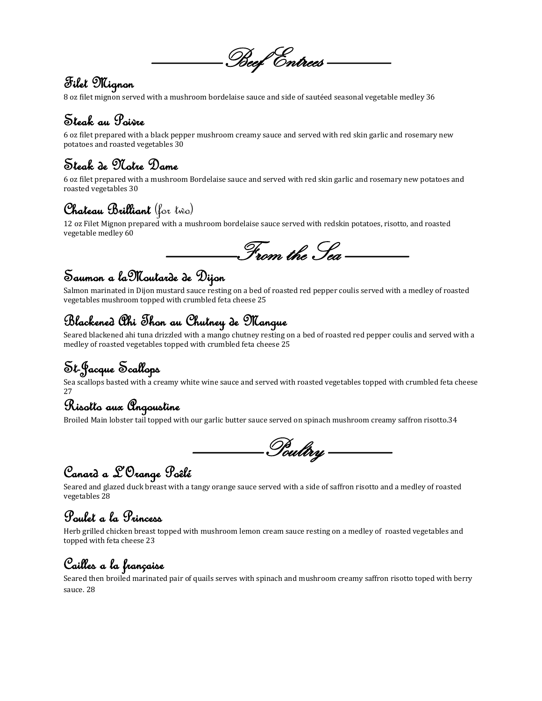

## Filet Mignon

8 oz filet mignon served with a mushroom bordelaise sauce and side of sautéed seasonal vegetable medley 36

## Steak au Poivre

6 oz filet prepared with a black pepper mushroom creamy sauce and served with red skin garlic and rosemary new potatoes and roasted vegetables 30

## Steak de Notre Dame

6 oz filet prepared with a mushroom Bordelaise sauce and served with red skin garlic and rosemary new potatoes and roasted vegetables 30

## Chateau Brilliant (for two)

12 oz Filet Mignon prepared with a mushroom bordelaise sauce served with redskin potatoes, risotto, and roasted vegetable medley 60

From the Sea

## Saumon a laMoutarde de Dijon

Salmon marinated in Dijon mustard sauce resting on a bed of roasted red pepper coulis served with a medley of roasted vegetables mushroom topped with crumbled feta cheese 25

## Blackened Ahi Thon au Chutney de Mangue

Seared blackened ahi tuna drizzled with a mango chutney resting on a bed of roasted red pepper coulis and served with a medley of roasted vegetables topped with crumbled feta cheese 25

# St-Jacque Scallops

Sea scallops basted with a creamy white wine sauce and served with roasted vegetables topped with crumbled feta cheese 27

# Risotto aux Angoustine

Broiled Main lobster tail topped with our garlic butter sauce served on spinach mushroom creamy saffron risotto.34

Poultry

## Canard a L'Orange Poêlé

Seared and glazed duck breast with a tangy orange sauce served with a side of saffron risotto and a medley of roasted vegetables 28

# Poulet a la Princess

Herb grilled chicken breast topped with mushroom lemon cream sauce resting on a medley of roasted vegetables and topped with feta cheese 23

## Cailles a la française

Seared then broiled marinated pair of quails serves with spinach and mushroom creamy saffron risotto toped with berry sauce. 28